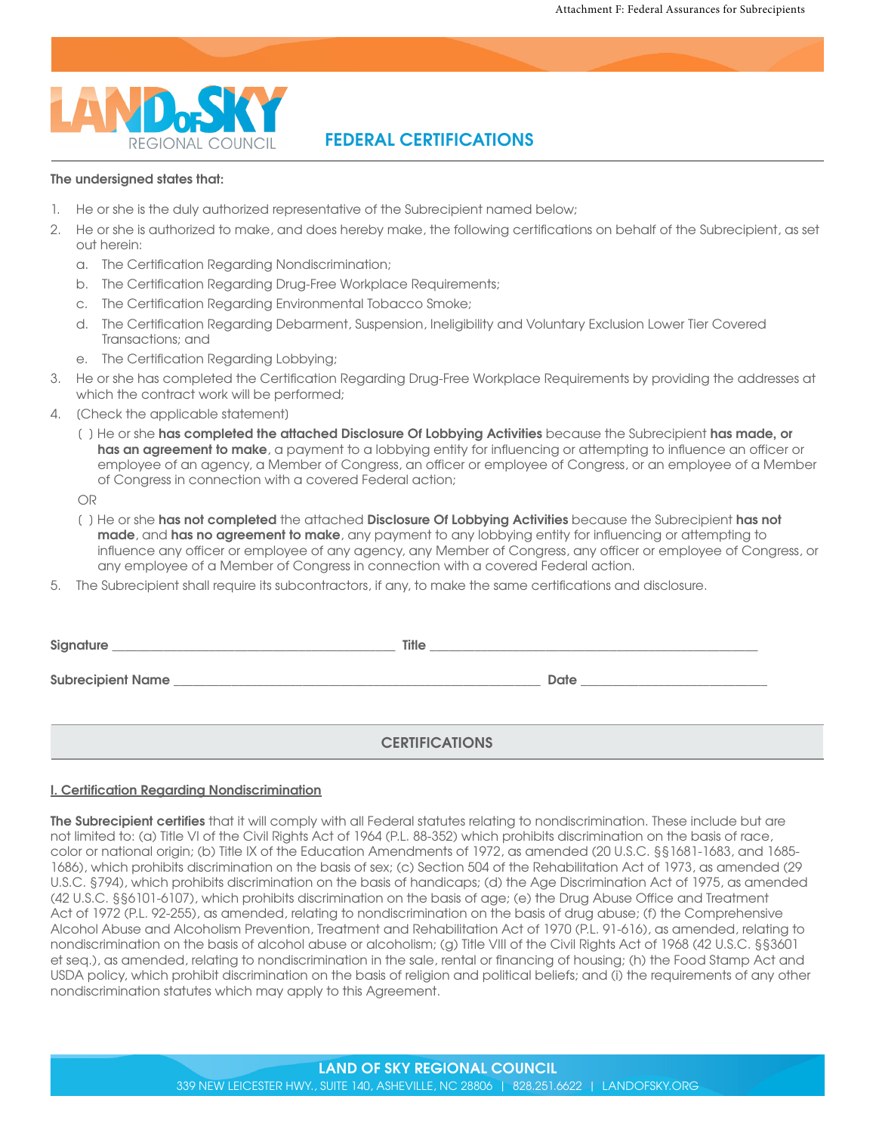

# **FEDERAL CERTIFICATIONS**

#### **The undersigned states that:**

- 1. He or she is the duly authorized representative of the Subrecipient named below;
- 2. He or she is authorized to make, and does hereby make, the following certifications on behalf of the Subrecipient, as set out herein:
	- a. The Certification Regarding Nondiscrimination;
	- b. The Certification Regarding Drug-Free Workplace Requirements;
	- c. The Certification Regarding Environmental Tobacco Smoke;
	- d. The Certification Regarding Debarment, Suspension, Ineligibility and Voluntary Exclusion Lower Tier Covered Transactions; and
	- e. The Certification Regarding Lobbying;
- 3. He or she has completed the Certification Regarding Drug-Free Workplace Requirements by providing the addresses at which the contract work will be performed;
- 4. [Check the applicable statement]
	- [ ] He or she **has completed the attached Disclosure Of Lobbying Activities** because the Subrecipient **has made, or has an agreement to make**, a payment to a lobbying entity for influencing or attempting to influence an officer or employee of an agency, a Member of Congress, an officer or employee of Congress, or an employee of a Member of Congress in connection with a covered Federal action;

OR

- [ ] He or she **has not completed** the attached **Disclosure Of Lobbying Activities** because the Subrecipient **has not made**, and **has no agreement to make**, any payment to any lobbying entity for influencing or attempting to influence any officer or employee of any agency, any Member of Congress, any officer or employee of Congress, or any employee of a Member of Congress in connection with a covered Federal action.
- 5. The Subrecipient shall require its subcontractors, if any, to make the same certifications and disclosure.

| Signature<br><u> 1980 - Jan Stein Stein Stein Stein Stein Stein Stein Stein Stein Stein Stein Stein Stein Stein Stein Stein S</u> | <b>Title</b>          |
|-----------------------------------------------------------------------------------------------------------------------------------|-----------------------|
|                                                                                                                                   | Date                  |
|                                                                                                                                   | <b>CERTIFICATIONS</b> |

#### **I. Certification Regarding Nondiscrimination**

**The Subrecipient certifies** that it will comply with all Federal statutes relating to nondiscrimination. These include but are not limited to: (a) Title VI of the Civil Rights Act of 1964 (P.L. 88-352) which prohibits discrimination on the basis of race, color or national origin; (b) Title IX of the Education Amendments of 1972, as amended (20 U.S.C. §§1681-1683, and 1685- 1686), which prohibits discrimination on the basis of sex; (c) Section 504 of the Rehabilitation Act of 1973, as amended (29 U.S.C. §794), which prohibits discrimination on the basis of handicaps; (d) the Age Discrimination Act of 1975, as amended (42 U.S.C. §§6101-6107), which prohibits discrimination on the basis of age; (e) the Drug Abuse Office and Treatment Act of 1972 (P.L. 92-255), as amended, relating to nondiscrimination on the basis of drug abuse; (f) the Comprehensive Alcohol Abuse and Alcoholism Prevention, Treatment and Rehabilitation Act of 1970 (P.L. 91-616), as amended, relating to nondiscrimination on the basis of alcohol abuse or alcoholism; (g) Title VIII of the Civil Rights Act of 1968 (42 U.S.C. §§3601 et seq.), as amended, relating to nondiscrimination in the sale, rental or financing of housing; (h) the Food Stamp Act and USDA policy, which prohibit discrimination on the basis of religion and political beliefs; and (i) the requirements of any other nondiscrimination statutes which may apply to this Agreement.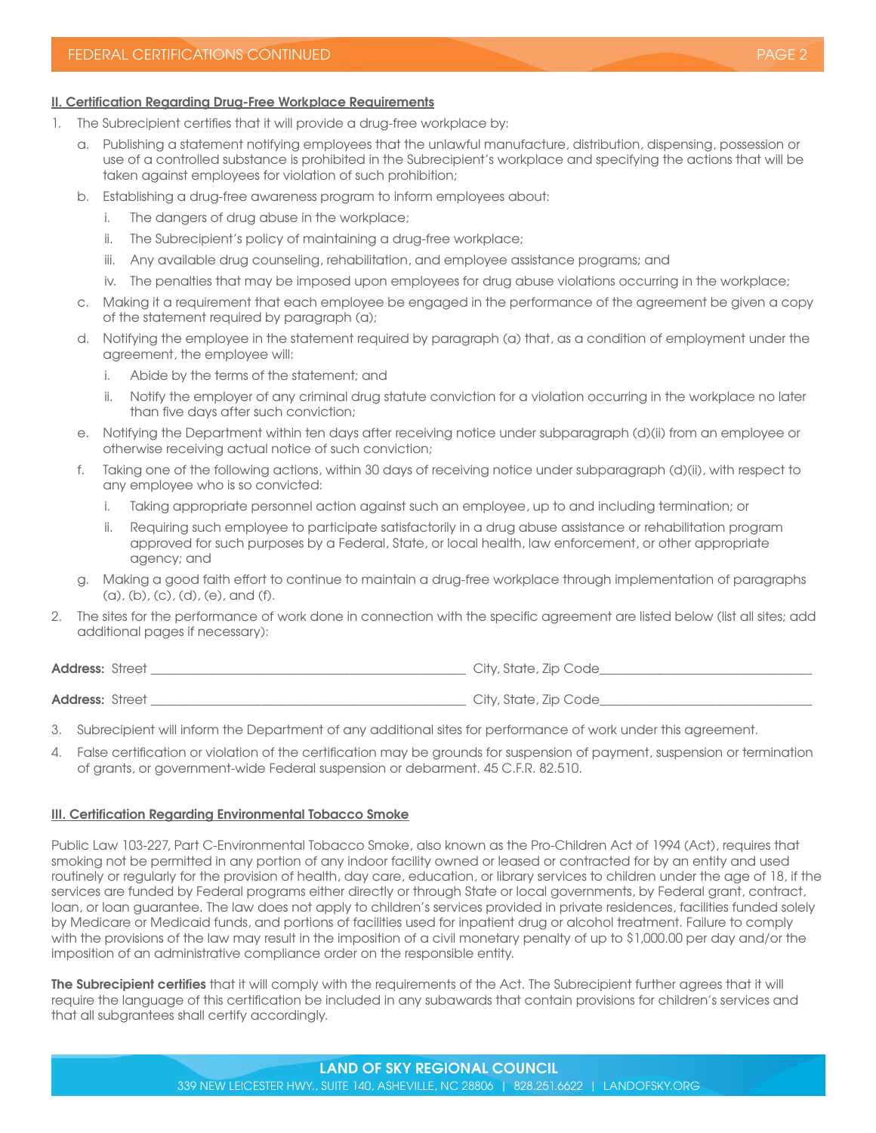## **II. Certification Regarding Drug-Free Workplace Requirements**

- 1. The Subrecipient certifies that it will provide a drug-free workplace by:
	- a. Publishing a statement notifying employees that the unlawful manufacture, distribution, dispensing, possession or use of a controlled substance is prohibited in the Subrecipient's workplace and specifying the actions that will be taken against employees for violation of such prohibition;
	- b. Establishing a drug-free awareness program to inform employees about:
		- i. The dangers of drug abuse in the workplace;
		- ii. The Subrecipient's policy of maintaining a drug-free workplace;
		- iii. Any available drug counseling, rehabilitation, and employee assistance programs; and
		- iv. The penalties that may be imposed upon employees for drug abuse violations occurring in the workplace;
	- c. Making it a requirement that each employee be engaged in the performance of the agreement be given a copy of the statement required by paragraph (a);
	- d. Notifying the employee in the statement required by paragraph (a) that, as a condition of employment under the agreement, the employee will:
		- i. Abide by the terms of the statement; and
		- ii. Notify the employer of any criminal drug statute conviction for a violation occurring in the workplace no later than five days after such conviction;
	- e. Notifying the Department within ten days after receiving notice under subparagraph (d)(ii) from an employee or otherwise receiving actual notice of such conviction;
	- f. Taking one of the following actions, within 30 days of receiving notice under subparagraph (d)(ii), with respect to any employee who is so convicted:
		- i. Taking appropriate personnel action against such an employee, up to and including termination; or
		- ii. Requiring such employee to participate satisfactorily in a drug abuse assistance or rehabilitation program approved for such purposes by a Federal, State, or local health, law enforcement, or other appropriate agency; and
	- g. Making a good faith effort to continue to maintain a drug-free workplace through implementation of paragraphs  $(a), (b), (c), (d), (e),$  and  $(f).$
- 2. The sites for the performance of work done in connection with the specific agreement are listed below (list all sites; add additional pages if necessary):

**Address:** Street **and a structure of the street of the street of the street of the street of the street of the street of the street of the street of the street of the street of the street of the street of the street of th Address:** Street \_\_\_\_\_\_\_\_\_\_\_\_\_\_\_\_\_\_\_\_\_\_\_\_\_\_\_\_\_\_\_\_\_\_\_\_\_\_\_\_\_\_\_\_\_\_\_\_\_ City, State, Zip Code\_\_\_\_\_\_\_\_\_\_\_\_\_\_\_\_\_\_\_\_\_\_\_\_\_\_\_\_\_\_\_\_\_

- 3. Subrecipient will inform the Department of any additional sites for performance of work under this agreement.
- 4. False certification or violation of the certification may be grounds for suspension of payment, suspension or termination of grants, or government-wide Federal suspension or debarment. 45 C.F.R. 82.510.

#### **III. Certification Regarding Environmental Tobacco Smoke**

Public Law 103-227, Part C-Environmental Tobacco Smoke, also known as the Pro-Children Act of 1994 (Act), requires that smoking not be permitted in any portion of any indoor facility owned or leased or contracted for by an entity and used routinely or regularly for the provision of health, day care, education, or library services to children under the age of 18, if the services are funded by Federal programs either directly or through State or local governments, by Federal grant, contract, loan, or loan guarantee. The law does not apply to children's services provided in private residences, facilities funded solely by Medicare or Medicaid funds, and portions of facilities used for inpatient drug or alcohol treatment. Failure to comply with the provisions of the law may result in the imposition of a civil monetary penalty of up to \$1,000.00 per day and/or the imposition of an administrative compliance order on the responsible entity.

**The Subrecipient certifies** that it will comply with the requirements of the Act. The Subrecipient further agrees that it will require the language of this certification be included in any subawards that contain provisions for children's services and that all subgrantees shall certify accordingly.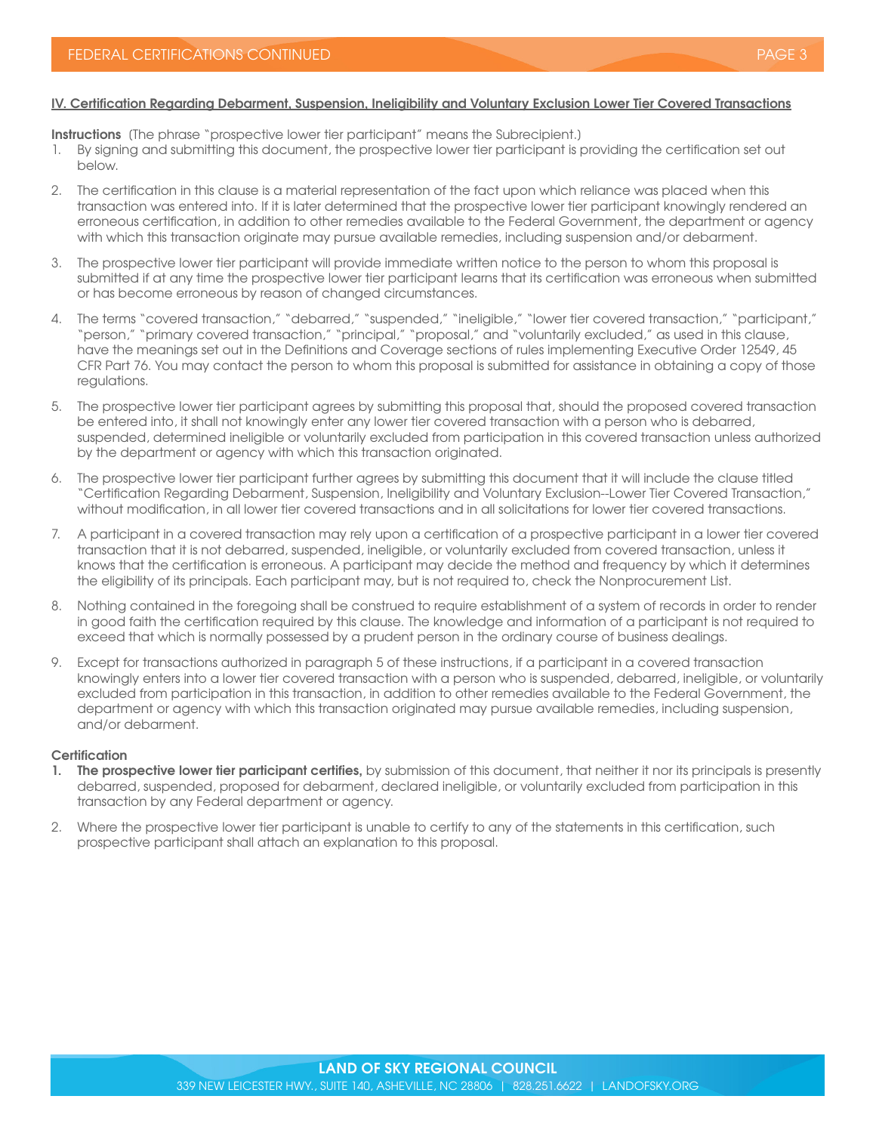## **IV. Certification Regarding Debarment, Suspension, Ineligibility and Voluntary Exclusion Lower Tier Covered Transactions**

**Instructions** (The phrase "prospective lower tier participant" means the Subrecipient.)

- 1. By signing and submitting this document, the prospective lower tier participant is providing the certification set out below.
- 2. The certification in this clause is a material representation of the fact upon which reliance was placed when this transaction was entered into. If it is later determined that the prospective lower tier participant knowingly rendered an erroneous certification, in addition to other remedies available to the Federal Government, the department or agency with which this transaction originate may pursue available remedies, including suspension and/or debarment.
- 3. The prospective lower tier participant will provide immediate written notice to the person to whom this proposal is submitted if at any time the prospective lower tier participant learns that its certification was erroneous when submitted or has become erroneous by reason of changed circumstances.
- 4. The terms "covered transaction," "debarred," "suspended," "ineligible," "lower tier covered transaction," "participant," "person," "primary covered transaction," "principal," "proposal," and "voluntarily excluded," as used in this clause, have the meanings set out in the Definitions and Coverage sections of rules implementing Executive Order 12549, 45 CFR Part 76. You may contact the person to whom this proposal is submitted for assistance in obtaining a copy of those regulations.
- 5. The prospective lower tier participant agrees by submitting this proposal that, should the proposed covered transaction be entered into, it shall not knowingly enter any lower tier covered transaction with a person who is debarred, suspended, determined ineligible or voluntarily excluded from participation in this covered transaction unless authorized by the department or agency with which this transaction originated.
- 6. The prospective lower tier participant further agrees by submitting this document that it will include the clause titled "Certification Regarding Debarment, Suspension, Ineligibility and Voluntary Exclusion--Lower Tier Covered Transaction," without modification, in all lower tier covered transactions and in all solicitations for lower tier covered transactions.
- 7. A participant in a covered transaction may rely upon a certification of a prospective participant in a lower tier covered transaction that it is not debarred, suspended, ineligible, or voluntarily excluded from covered transaction, unless it knows that the certification is erroneous. A participant may decide the method and frequency by which it determines the eligibility of its principals. Each participant may, but is not required to, check the Nonprocurement List.
- 8. Nothing contained in the foregoing shall be construed to require establishment of a system of records in order to render in good faith the certification required by this clause. The knowledge and information of a participant is not required to exceed that which is normally possessed by a prudent person in the ordinary course of business dealings.
- 9. Except for transactions authorized in paragraph 5 of these instructions, if a participant in a covered transaction knowingly enters into a lower tier covered transaction with a person who is suspended, debarred, ineligible, or voluntarily excluded from participation in this transaction, in addition to other remedies available to the Federal Government, the department or agency with which this transaction originated may pursue available remedies, including suspension, and/or debarment.

#### **Certification**

- **1. The prospective lower tier participant certifies,** by submission of this document, that neither it nor its principals is presently debarred, suspended, proposed for debarment, declared ineligible, or voluntarily excluded from participation in this transaction by any Federal department or agency.
- 2. Where the prospective lower tier participant is unable to certify to any of the statements in this certification, such prospective participant shall attach an explanation to this proposal.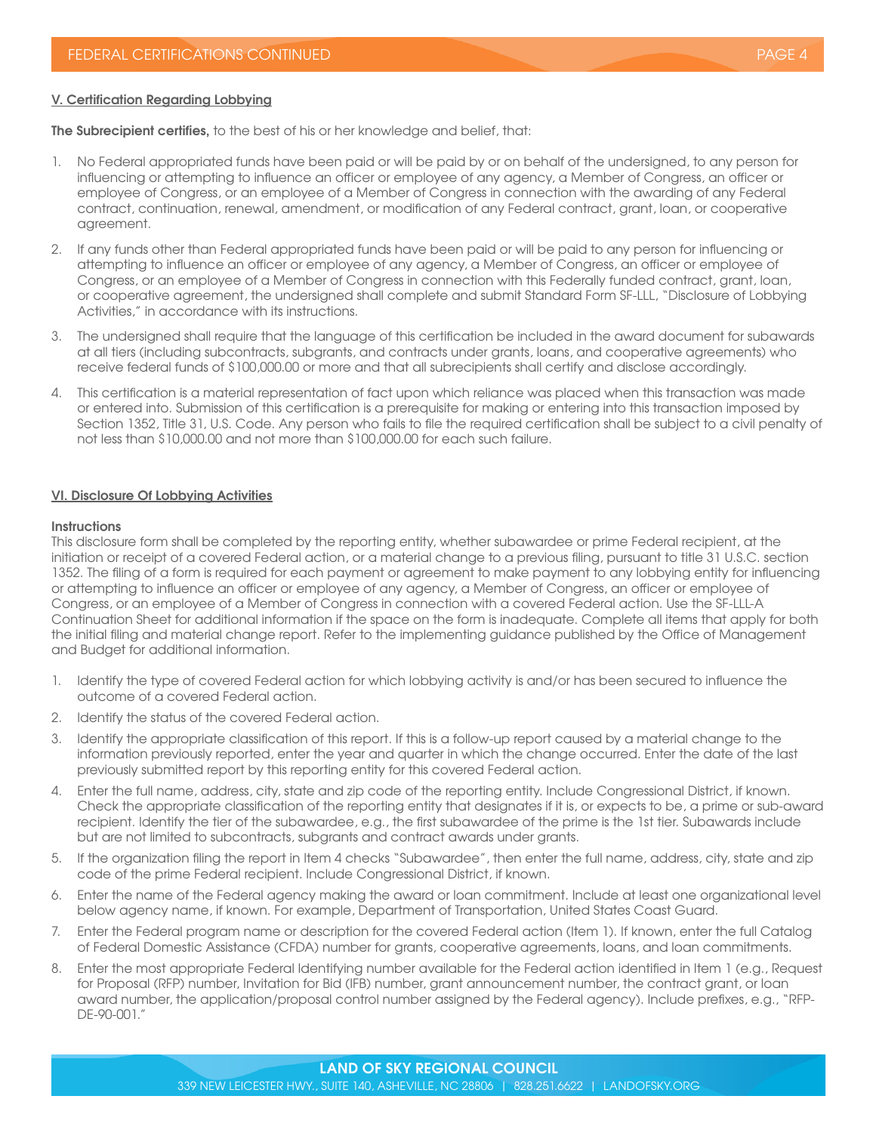#### **V. Certification Regarding Lobbying**

**The Subrecipient certifies,** to the best of his or her knowledge and belief, that:

- 1. No Federal appropriated funds have been paid or will be paid by or on behalf of the undersigned, to any person for influencing or attempting to influence an officer or employee of any agency, a Member of Congress, an officer or employee of Congress, or an employee of a Member of Congress in connection with the awarding of any Federal contract, continuation, renewal, amendment, or modification of any Federal contract, grant, loan, or cooperative agreement.
- 2. If any funds other than Federal appropriated funds have been paid or will be paid to any person for influencing or attempting to influence an officer or employee of any agency, a Member of Congress, an officer or employee of Congress, or an employee of a Member of Congress in connection with this Federally funded contract, grant, loan, or cooperative agreement, the undersigned shall complete and submit Standard Form SF-LLL, "Disclosure of Lobbying Activities," in accordance with its instructions.
- 3. The undersigned shall require that the language of this certification be included in the award document for subawards at all tiers (including subcontracts, subgrants, and contracts under grants, loans, and cooperative agreements) who receive federal funds of \$100,000.00 or more and that all subrecipients shall certify and disclose accordingly.
- 4. This certification is a material representation of fact upon which reliance was placed when this transaction was made or entered into. Submission of this certification is a prerequisite for making or entering into this transaction imposed by Section 1352, Title 31, U.S. Code. Any person who fails to file the required certification shall be subject to a civil penalty of not less than \$10,000.00 and not more than \$100,000.00 for each such failure.

#### **VI. Disclosure Of Lobbying Activities**

#### **Instructions**

This disclosure form shall be completed by the reporting entity, whether subawardee or prime Federal recipient, at the initiation or receipt of a covered Federal action, or a material change to a previous filing, pursuant to title 31 U.S.C. section 1352. The filing of a form is required for each payment or agreement to make payment to any lobbying entity for influencing or attempting to influence an officer or employee of any agency, a Member of Congress, an officer or employee of Congress, or an employee of a Member of Congress in connection with a covered Federal action. Use the SF-LLL-A Continuation Sheet for additional information if the space on the form is inadequate. Complete all items that apply for both the initial filing and material change report. Refer to the implementing guidance published by the Office of Management and Budget for additional information.

- 1. Identify the type of covered Federal action for which lobbying activity is and/or has been secured to influence the outcome of a covered Federal action.
- 2. Identify the status of the covered Federal action.
- 3. Identify the appropriate classification of this report. If this is a follow-up report caused by a material change to the information previously reported, enter the year and quarter in which the change occurred. Enter the date of the last previously submitted report by this reporting entity for this covered Federal action.
- 4. Enter the full name, address, city, state and zip code of the reporting entity. Include Congressional District, if known. Check the appropriate classification of the reporting entity that designates if it is, or expects to be, a prime or sub-award recipient. Identify the tier of the subawardee, e.g., the first subawardee of the prime is the 1st tier. Subawards include but are not limited to subcontracts, subgrants and contract awards under grants.
- 5. If the organization filing the report in Item 4 checks "Subawardee", then enter the full name, address, city, state and zip code of the prime Federal recipient. Include Congressional District, if known.
- 6. Enter the name of the Federal agency making the award or loan commitment. Include at least one organizational level below agency name, if known. For example, Department of Transportation, United States Coast Guard.
- 7. Enter the Federal program name or description for the covered Federal action (Item 1). If known, enter the full Catalog of Federal Domestic Assistance (CFDA) number for grants, cooperative agreements, loans, and loan commitments.
- 8. Enter the most appropriate Federal Identifying number available for the Federal action identified in Item 1 (e.g., Request for Proposal (RFP) number, Invitation for Bid (IFB) number, grant announcement number, the contract grant, or loan award number, the application/proposal control number assigned by the Federal agency). Include prefixes, e.g., "RFP-DE-90-001."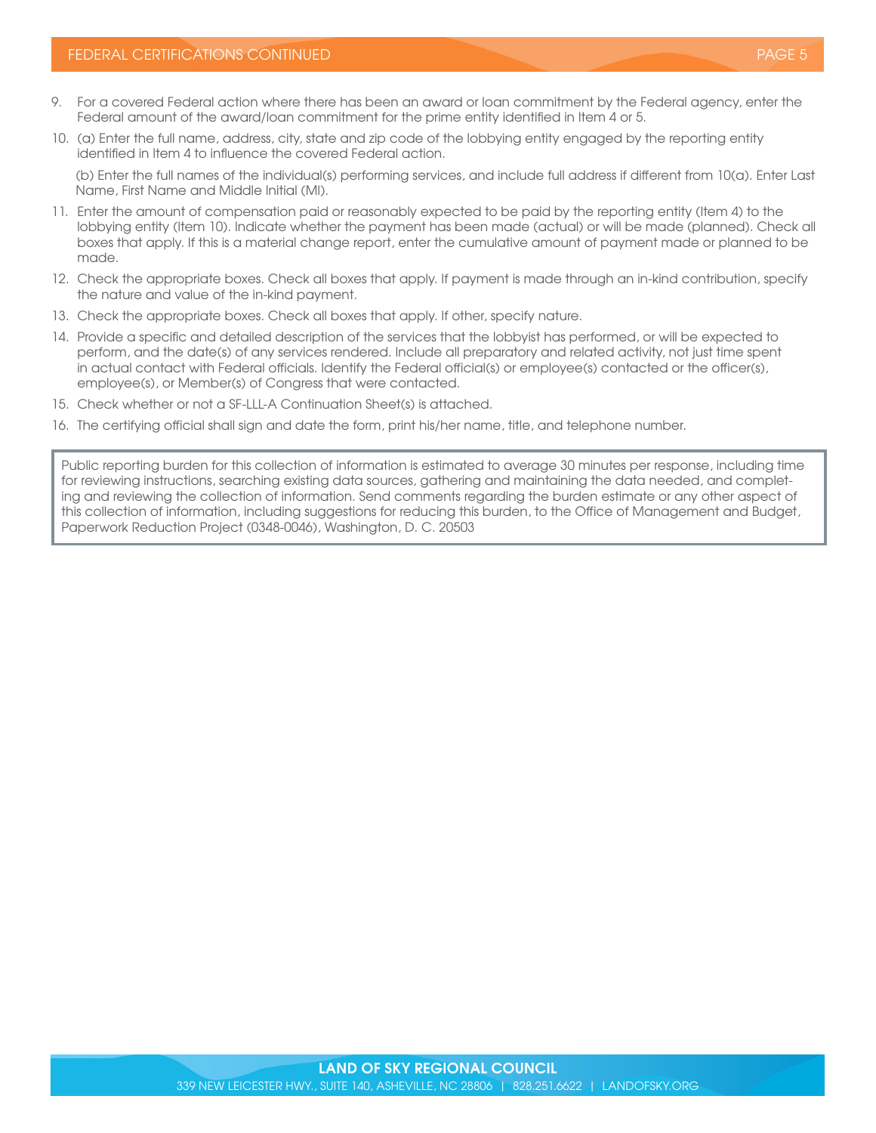- 9. For a covered Federal action where there has been an award or loan commitment by the Federal agency, enter the Federal amount of the award/loan commitment for the prime entity identified in Item 4 or 5.
- 10. (a) Enter the full name, address, city, state and zip code of the lobbying entity engaged by the reporting entity identified in Item 4 to influence the covered Federal action.

(b) Enter the full names of the individual(s) performing services, and include full address if different from 10(a). Enter Last Name, First Name and Middle Initial (MI).

- 11. Enter the amount of compensation paid or reasonably expected to be paid by the reporting entity (Item 4) to the lobbying entity (Item 10). Indicate whether the payment has been made (actual) or will be made (planned). Check all boxes that apply. If this is a material change report, enter the cumulative amount of payment made or planned to be made.
- 12. Check the appropriate boxes. Check all boxes that apply. If payment is made through an in-kind contribution, specify the nature and value of the in-kind payment.
- 13. Check the appropriate boxes. Check all boxes that apply. If other, specify nature.
- 14. Provide a specific and detailed description of the services that the lobbyist has performed, or will be expected to perform, and the date(s) of any services rendered. Include all preparatory and related activity, not just time spent in actual contact with Federal officials. Identify the Federal official(s) or employee(s) contacted or the officer(s), employee(s), or Member(s) of Congress that were contacted.
- 15. Check whether or not a SF-LLL-A Continuation Sheet(s) is attached.
- 16. The certifying official shall sign and date the form, print his/her name, title, and telephone number.

Public reporting burden for this collection of information is estimated to average 30 minutes per response, including time for reviewing instructions, searching existing data sources, gathering and maintaining the data needed, and completing and reviewing the collection of information. Send comments regarding the burden estimate or any other aspect of this collection of information, including suggestions for reducing this burden, to the Office of Management and Budget, Paperwork Reduction Project (0348-0046), Washington, D. C. 20503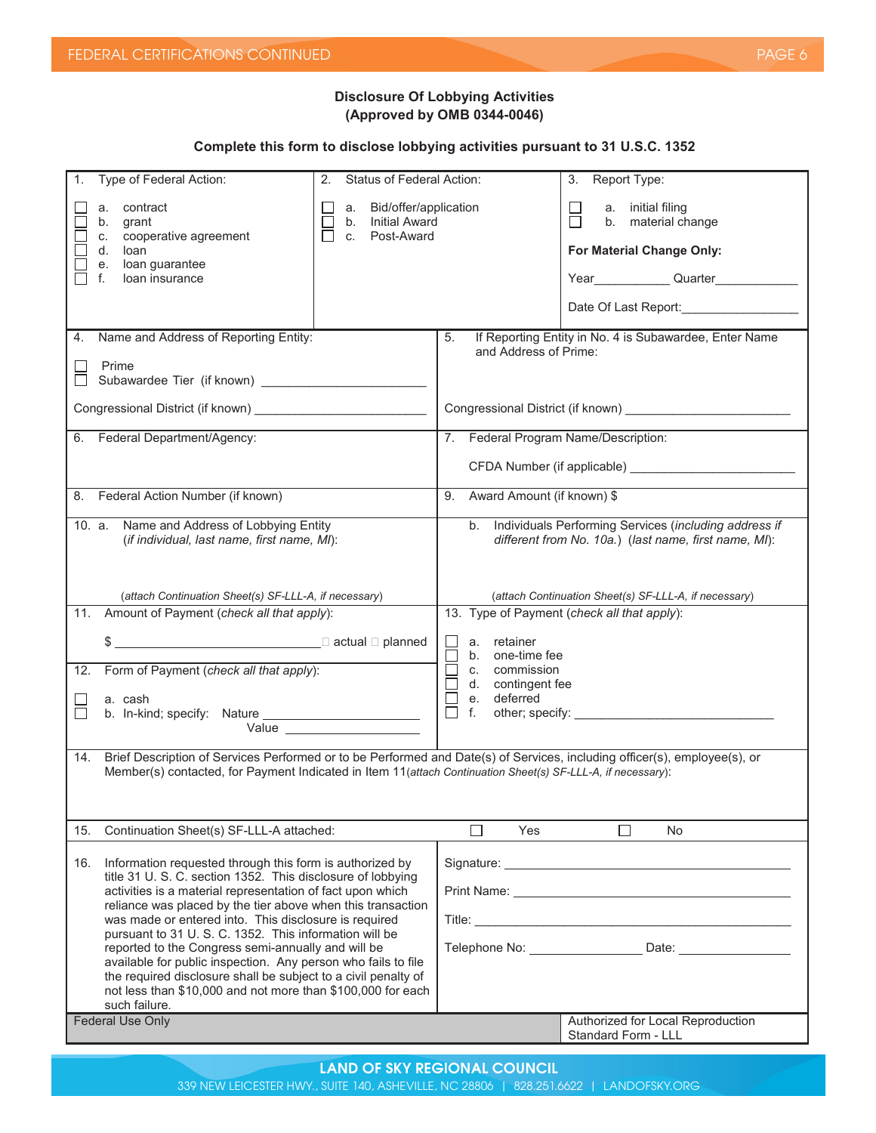# **Disclosure Of Lobbying Activities (Approved by OMB 0344-0046)**

# **Complete this form to disclose lobbying activities pursuant to 31 U.S.C. 1352**

| a. contract<br>a. Bid/offer/application<br>a. initial filing<br>П<br>b. material change<br>b. Initial Award<br>grant<br>b.<br>cooperative agreement<br>Post-Award<br>ΙI<br>C.<br>C.<br>d.<br>For Material Change Only:<br>loan<br>loan guarantee<br>е.<br>loan insurance<br>f.<br>Date Of Last Report:<br>4. Name and Address of Reporting Entity:<br>If Reporting Entity in No. 4 is Subawardee, Enter Name<br>5.<br>and Address of Prime:                                                                                                                                                                                                                                                                                                                                                                                                                                                               |  |  |  |  |
|-----------------------------------------------------------------------------------------------------------------------------------------------------------------------------------------------------------------------------------------------------------------------------------------------------------------------------------------------------------------------------------------------------------------------------------------------------------------------------------------------------------------------------------------------------------------------------------------------------------------------------------------------------------------------------------------------------------------------------------------------------------------------------------------------------------------------------------------------------------------------------------------------------------|--|--|--|--|
|                                                                                                                                                                                                                                                                                                                                                                                                                                                                                                                                                                                                                                                                                                                                                                                                                                                                                                           |  |  |  |  |
|                                                                                                                                                                                                                                                                                                                                                                                                                                                                                                                                                                                                                                                                                                                                                                                                                                                                                                           |  |  |  |  |
| Prime                                                                                                                                                                                                                                                                                                                                                                                                                                                                                                                                                                                                                                                                                                                                                                                                                                                                                                     |  |  |  |  |
|                                                                                                                                                                                                                                                                                                                                                                                                                                                                                                                                                                                                                                                                                                                                                                                                                                                                                                           |  |  |  |  |
| 6. Federal Department/Agency:<br>7. Federal Program Name/Description:                                                                                                                                                                                                                                                                                                                                                                                                                                                                                                                                                                                                                                                                                                                                                                                                                                     |  |  |  |  |
|                                                                                                                                                                                                                                                                                                                                                                                                                                                                                                                                                                                                                                                                                                                                                                                                                                                                                                           |  |  |  |  |
| 8. Federal Action Number (if known)<br>Award Amount (if known) \$<br>9.                                                                                                                                                                                                                                                                                                                                                                                                                                                                                                                                                                                                                                                                                                                                                                                                                                   |  |  |  |  |
| b. Individuals Performing Services (including address if<br>10. a. Name and Address of Lobbying Entity<br>(if individual, last name, first name, MI):<br>different from No. 10a.) (last name, first name, MI):                                                                                                                                                                                                                                                                                                                                                                                                                                                                                                                                                                                                                                                                                            |  |  |  |  |
| (attach Continuation Sheet(s) SF-LLL-A, if necessary)<br>(attach Continuation Sheet(s) SF-LLL-A, if necessary)                                                                                                                                                                                                                                                                                                                                                                                                                                                                                                                                                                                                                                                                                                                                                                                            |  |  |  |  |
| Amount of Payment (check all that apply):<br>13. Type of Payment (check all that apply):<br>11.                                                                                                                                                                                                                                                                                                                                                                                                                                                                                                                                                                                                                                                                                                                                                                                                           |  |  |  |  |
| a. retainer<br>$\Box$<br>b. one-time fee<br>$\mathsf{L}$<br>Form of Payment (check all that apply):<br>$\Box$<br>c. commission<br>12.<br>d. contingent fee<br>e. deferred<br>a. cash<br>$\Box$<br>$\Box$<br>f.<br><b>Value Value</b>                                                                                                                                                                                                                                                                                                                                                                                                                                                                                                                                                                                                                                                                      |  |  |  |  |
| Brief Description of Services Performed or to be Performed and Date(s) of Services, including officer(s), employee(s), or<br>14.<br>Member(s) contacted, for Payment Indicated in Item 11(attach Continuation Sheet(s) SF-LLL-A, if necessary):                                                                                                                                                                                                                                                                                                                                                                                                                                                                                                                                                                                                                                                           |  |  |  |  |
| Continuation Sheet(s) SF-LLL-A attached:<br>15.<br>$\vert \ \ \vert$<br>Yes<br>N <sub>o</sub>                                                                                                                                                                                                                                                                                                                                                                                                                                                                                                                                                                                                                                                                                                                                                                                                             |  |  |  |  |
| Information requested through this form is authorized by<br>16.<br>title 31 U. S. C. section 1352. This disclosure of lobbying<br>activities is a material representation of fact upon which<br>Print Name: <u>Andrea Barbara and Barbara and Barbara and Barbara and Barbara and Barbara and Barbara and Barbara and Barbara and Barbara and Barbara and Barbara and Barbara and Barbara and Barbara and Barbara and Barbara an</u><br>reliance was placed by the tier above when this transaction<br>was made or entered into. This disclosure is required<br>pursuant to 31 U.S.C. 1352. This information will be<br>Telephone No: Date: Date:<br>reported to the Congress semi-annually and will be<br>available for public inspection. Any person who fails to file<br>the required disclosure shall be subject to a civil penalty of<br>not less than \$10,000 and not more than \$100,000 for each |  |  |  |  |
| such failure.<br>Authorized for Local Reproduction                                                                                                                                                                                                                                                                                                                                                                                                                                                                                                                                                                                                                                                                                                                                                                                                                                                        |  |  |  |  |